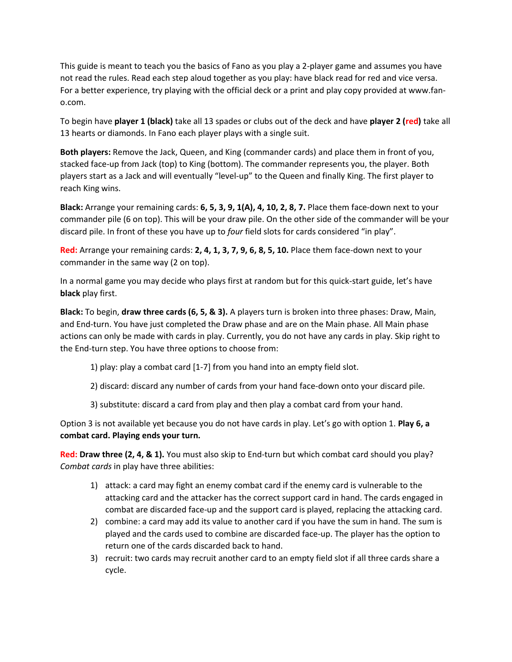This guide is meant to teach you the basics of Fano as you play a 2-player game and assumes you have not read the rules. Read each step aloud together as you play: have black read for red and vice versa. For a better experience, try playing with the official deck or a print and play copy provided at www.fano.com.

To begin have **player 1 (black)** take all 13 spades or clubs out of the deck and have **player 2 (red)** take all 13 hearts or diamonds. In Fano each player plays with a single suit.

**Both players:** Remove the Jack, Queen, and King (commander cards) and place them in front of you, stacked face-up from Jack (top) to King (bottom). The commander represents you, the player. Both players start as a Jack and will eventually "level-up" to the Queen and finally King. The first player to reach King wins.

**Black:** Arrange your remaining cards: **6, 5, 3, 9, 1(A), 4, 10, 2, 8, 7.** Place them face-down next to your commander pile (6 on top). This will be your draw pile. On the other side of the commander will be your discard pile. In front of these you have up to *four* field slots for cards considered "in play".

**Red:** Arrange your remaining cards: **2, 4, 1, 3, 7, 9, 6, 8, 5, 10.** Place them face-down next to your commander in the same way (2 on top).

In a normal game you may decide who plays first at random but for this quick-start guide, let's have **black** play first.

**Black:** To begin, **draw three cards (6, 5, & 3).** A players turn is broken into three phases: Draw, Main, and End-turn. You have just completed the Draw phase and are on the Main phase. All Main phase actions can only be made with cards in play. Currently, you do not have any cards in play. Skip right to the End-turn step. You have three options to choose from:

- 1) play: play a combat card [1-7] from you hand into an empty field slot.
- 2) discard: discard any number of cards from your hand face-down onto your discard pile.
- 3) substitute: discard a card from play and then play a combat card from your hand.

Option 3 is not available yet because you do not have cards in play. Let's go with option 1. **Play 6, a combat card. Playing ends your turn.**

**Red: Draw three (2, 4, & 1).** You must also skip to End-turn but which combat card should you play? *Combat cards* in play have three abilities:

- 1) attack: a card may fight an enemy combat card if the enemy card is vulnerable to the attacking card and the attacker has the correct support card in hand. The cards engaged in combat are discarded face-up and the support card is played, replacing the attacking card.
- 2) combine: a card may add its value to another card if you have the sum in hand. The sum is played and the cards used to combine are discarded face-up. The player has the option to return one of the cards discarded back to hand.
- 3) recruit: two cards may recruit another card to an empty field slot if all three cards share a cycle.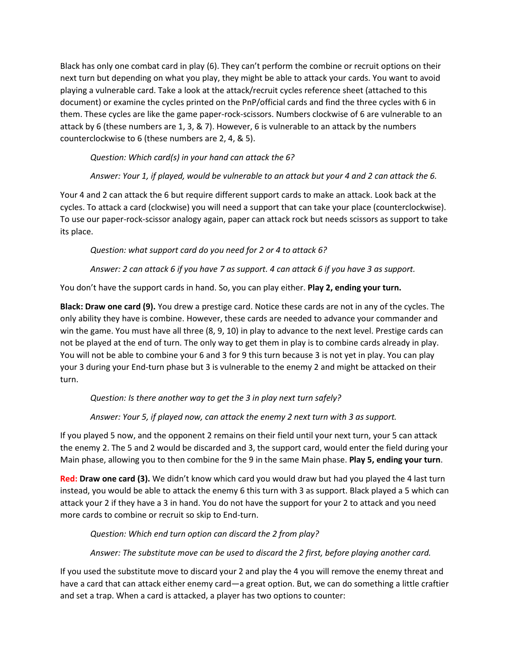Black has only one combat card in play (6). They can't perform the combine or recruit options on their next turn but depending on what you play, they might be able to attack your cards. You want to avoid playing a vulnerable card. Take a look at the attack/recruit cycles reference sheet (attached to this document) or examine the cycles printed on the PnP/official cards and find the three cycles with 6 in them. These cycles are like the game paper-rock-scissors. Numbers clockwise of 6 are vulnerable to an attack by 6 (these numbers are 1, 3, & 7). However, 6 is vulnerable to an attack by the numbers counterclockwise to 6 (these numbers are 2, 4, & 5).

*Question: Which card(s) in your hand can attack the 6?* 

*Answer: Your 1, if played, would be vulnerable to an attack but your 4 and 2 can attack the 6.* 

Your 4 and 2 can attack the 6 but require different support cards to make an attack. Look back at the cycles. To attack a card (clockwise) you will need a support that can take your place (counterclockwise). To use our paper-rock-scissor analogy again, paper can attack rock but needs scissors as support to take its place.

*Question: what support card do you need for 2 or 4 to attack 6?*

*Answer: 2 can attack 6 if you have 7 as support. 4 can attack 6 if you have 3 as support.* 

You don't have the support cards in hand. So, you can play either. **Play 2, ending your turn.**

**Black: Draw one card (9).** You drew a prestige card. Notice these cards are not in any of the cycles. The only ability they have is combine. However, these cards are needed to advance your commander and win the game. You must have all three (8, 9, 10) in play to advance to the next level. Prestige cards can not be played at the end of turn. The only way to get them in play is to combine cards already in play. You will not be able to combine your 6 and 3 for 9 this turn because 3 is not yet in play. You can play your 3 during your End-turn phase but 3 is vulnerable to the enemy 2 and might be attacked on their turn.

*Question: Is there another way to get the 3 in play next turn safely?*

*Answer: Your 5, if played now, can attack the enemy 2 next turn with 3 as support.*

If you played 5 now, and the opponent 2 remains on their field until your next turn, your 5 can attack the enemy 2. The 5 and 2 would be discarded and 3, the support card, would enter the field during your Main phase, allowing you to then combine for the 9 in the same Main phase. **Play 5, ending your turn**.

**Red: Draw one card (3).** We didn't know which card you would draw but had you played the 4 last turn instead, you would be able to attack the enemy 6 this turn with 3 as support. Black played a 5 which can attack your 2 if they have a 3 in hand. You do not have the support for your 2 to attack and you need more cards to combine or recruit so skip to End-turn.

*Question: Which end turn option can discard the 2 from play?*

*Answer: The substitute move can be used to discard the 2 first, before playing another card.*

If you used the substitute move to discard your 2 and play the 4 you will remove the enemy threat and have a card that can attack either enemy card—a great option. But, we can do something a little craftier and set a trap. When a card is attacked, a player has two options to counter: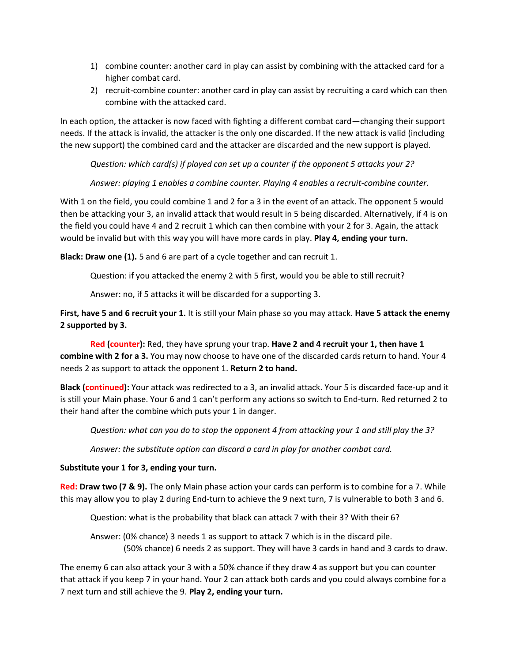- 1) combine counter: another card in play can assist by combining with the attacked card for a higher combat card.
- 2) recruit-combine counter: another card in play can assist by recruiting a card which can then combine with the attacked card.

In each option, the attacker is now faced with fighting a different combat card—changing their support needs. If the attack is invalid, the attacker is the only one discarded. If the new attack is valid (including the new support) the combined card and the attacker are discarded and the new support is played.

*Question: which card(s) if played can set up a counter if the opponent 5 attacks your 2?*

*Answer: playing 1 enables a combine counter. Playing 4 enables a recruit-combine counter.*

With 1 on the field, you could combine 1 and 2 for a 3 in the event of an attack. The opponent 5 would then be attacking your 3, an invalid attack that would result in 5 being discarded. Alternatively, if 4 is on the field you could have 4 and 2 recruit 1 which can then combine with your 2 for 3. Again, the attack would be invalid but with this way you will have more cards in play. **Play 4, ending your turn.**

**Black: Draw one (1).** 5 and 6 are part of a cycle together and can recruit 1.

Question: if you attacked the enemy 2 with 5 first, would you be able to still recruit?

Answer: no, if 5 attacks it will be discarded for a supporting 3.

**First, have 5 and 6 recruit your 1.** It is still your Main phase so you may attack. **Have 5 attack the enemy 2 supported by 3.**

**Red (counter):** Red, they have sprung your trap. **Have 2 and 4 recruit your 1, then have 1 combine with 2 for a 3.** You may now choose to have one of the discarded cards return to hand. Your 4 needs 2 as support to attack the opponent 1. **Return 2 to hand.**

**Black (continued):** Your attack was redirected to a 3, an invalid attack. Your 5 is discarded face-up and it is still your Main phase. Your 6 and 1 can't perform any actions so switch to End-turn. Red returned 2 to their hand after the combine which puts your 1 in danger.

*Question: what can you do to stop the opponent 4 from attacking your 1 and still play the 3?*

*Answer: the substitute option can discard a card in play for another combat card.*

## **Substitute your 1 for 3, ending your turn.**

**Red: Draw two (7 & 9).** The only Main phase action your cards can perform is to combine for a 7. While this may allow you to play 2 during End-turn to achieve the 9 next turn, 7 is vulnerable to both 3 and 6.

Question: what is the probability that black can attack 7 with their 3? With their 6?

Answer: (0% chance) 3 needs 1 as support to attack 7 which is in the discard pile. (50% chance) 6 needs 2 as support. They will have 3 cards in hand and 3 cards to draw.

The enemy 6 can also attack your 3 with a 50% chance if they draw 4 as support but you can counter that attack if you keep 7 in your hand. Your 2 can attack both cards and you could always combine for a 7 next turn and still achieve the 9. **Play 2, ending your turn.**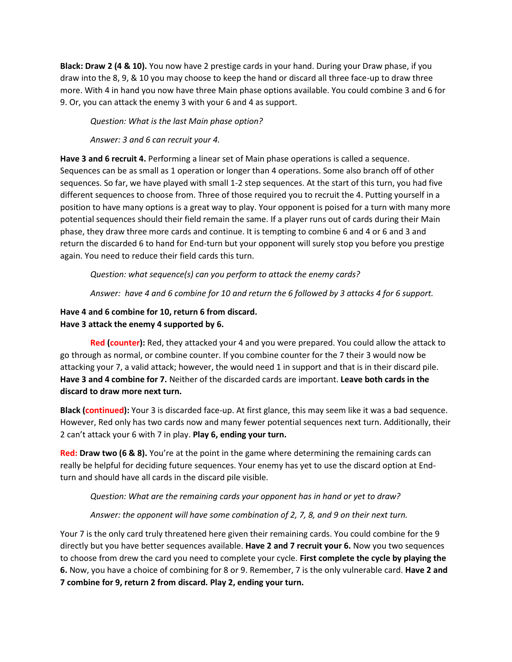**Black: Draw 2 (4 & 10).** You now have 2 prestige cards in your hand. During your Draw phase, if you draw into the 8, 9, & 10 you may choose to keep the hand or discard all three face-up to draw three more. With 4 in hand you now have three Main phase options available. You could combine 3 and 6 for 9. Or, you can attack the enemy 3 with your 6 and 4 as support.

*Question: What is the last Main phase option?*

*Answer: 3 and 6 can recruit your 4.*

**Have 3 and 6 recruit 4.** Performing a linear set of Main phase operations is called a sequence. Sequences can be as small as 1 operation or longer than 4 operations. Some also branch off of other sequences. So far, we have played with small 1-2 step sequences. At the start of this turn, you had five different sequences to choose from. Three of those required you to recruit the 4. Putting yourself in a position to have many options is a great way to play. Your opponent is poised for a turn with many more potential sequences should their field remain the same. If a player runs out of cards during their Main phase, they draw three more cards and continue. It is tempting to combine 6 and 4 or 6 and 3 and return the discarded 6 to hand for End-turn but your opponent will surely stop you before you prestige again. You need to reduce their field cards this turn.

*Question: what sequence(s) can you perform to attack the enemy cards?*

*Answer: have 4 and 6 combine for 10 and return the 6 followed by 3 attacks 4 for 6 support.*

## **Have 4 and 6 combine for 10, return 6 from discard. Have 3 attack the enemy 4 supported by 6.**

**Red (counter):** Red, they attacked your 4 and you were prepared. You could allow the attack to go through as normal, or combine counter. If you combine counter for the 7 their 3 would now be attacking your 7, a valid attack; however, the would need 1 in support and that is in their discard pile. **Have 3 and 4 combine for 7.** Neither of the discarded cards are important. **Leave both cards in the discard to draw more next turn.**

**Black (continued):** Your 3 is discarded face-up. At first glance, this may seem like it was a bad sequence. However, Red only has two cards now and many fewer potential sequences next turn. Additionally, their 2 can't attack your 6 with 7 in play. **Play 6, ending your turn.**

**Red: Draw two (6 & 8).** You're at the point in the game where determining the remaining cards can really be helpful for deciding future sequences. Your enemy has yet to use the discard option at Endturn and should have all cards in the discard pile visible.

*Question: What are the remaining cards your opponent has in hand or yet to draw?*

*Answer: the opponent will have some combination of 2, 7, 8, and 9 on their next turn.* 

Your 7 is the only card truly threatened here given their remaining cards. You could combine for the 9 directly but you have better sequences available. **Have 2 and 7 recruit your 6.** Now you two sequences to choose from drew the card you need to complete your cycle. **First complete the cycle by playing the 6.** Now, you have a choice of combining for 8 or 9. Remember, 7 is the only vulnerable card. **Have 2 and 7 combine for 9, return 2 from discard. Play 2, ending your turn.**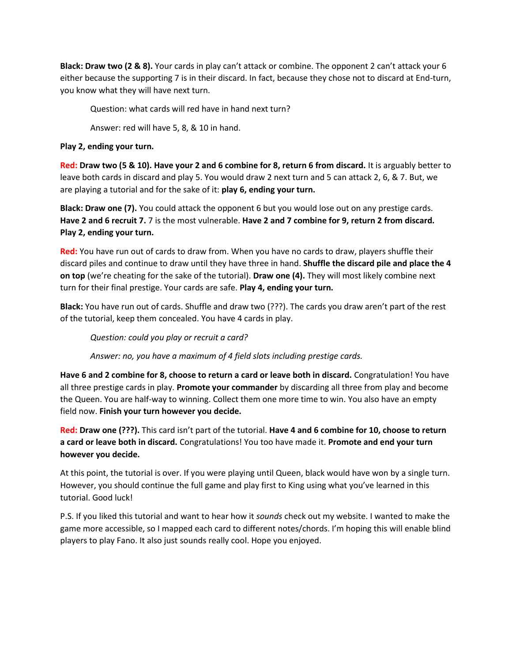**Black: Draw two (2 & 8).** Your cards in play can't attack or combine. The opponent 2 can't attack your 6 either because the supporting 7 is in their discard. In fact, because they chose not to discard at End-turn, you know what they will have next turn.

Question: what cards will red have in hand next turn?

Answer: red will have 5, 8, & 10 in hand.

## **Play 2, ending your turn.**

**Red: Draw two (5 & 10). Have your 2 and 6 combine for 8, return 6 from discard.** It is arguably better to leave both cards in discard and play 5. You would draw 2 next turn and 5 can attack 2, 6, & 7. But, we are playing a tutorial and for the sake of it: **play 6, ending your turn.**

**Black: Draw one (7).** You could attack the opponent 6 but you would lose out on any prestige cards. **Have 2 and 6 recruit 7.** 7 is the most vulnerable. **Have 2 and 7 combine for 9, return 2 from discard. Play 2, ending your turn.**

**Red:** You have run out of cards to draw from. When you have no cards to draw, players shuffle their discard piles and continue to draw until they have three in hand. **Shuffle the discard pile and place the 4 on top** (we're cheating for the sake of the tutorial). **Draw one (4).** They will most likely combine next turn for their final prestige. Your cards are safe. **Play 4, ending your turn.** 

**Black:** You have run out of cards. Shuffle and draw two (???). The cards you draw aren't part of the rest of the tutorial, keep them concealed. You have 4 cards in play.

*Question: could you play or recruit a card?*

*Answer: no, you have a maximum of 4 field slots including prestige cards.*

**Have 6 and 2 combine for 8, choose to return a card or leave both in discard.** Congratulation! You have all three prestige cards in play. **Promote your commander** by discarding all three from play and become the Queen. You are half-way to winning. Collect them one more time to win. You also have an empty field now. **Finish your turn however you decide.**

**Red: Draw one (???).** This card isn't part of the tutorial. **Have 4 and 6 combine for 10, choose to return a card or leave both in discard.** Congratulations! You too have made it. **Promote and end your turn however you decide.**

At this point, the tutorial is over. If you were playing until Queen, black would have won by a single turn. However, you should continue the full game and play first to King using what you've learned in this tutorial. Good luck!

P.S. If you liked this tutorial and want to hear how it *sounds* check out my website. I wanted to make the game more accessible, so I mapped each card to different notes/chords. I'm hoping this will enable blind players to play Fano. It also just sounds really cool. Hope you enjoyed.